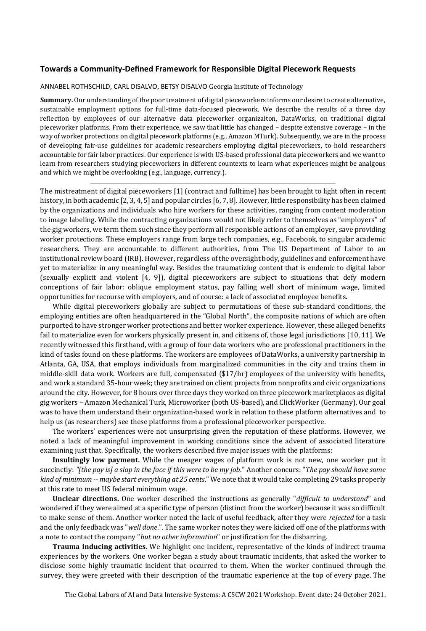## **Towards a Community-Defined Framework for Responsible Digital Piecework Requests**

## ANNABEL ROTHSCHILD, CARL DISALVO, BETSY DISALVO Georgia Institute of Technology

**Summary.** Our understanding of the poor treatment of digital pieceworkers informs our desire to create alternative, sustainable employment options for full-time data-focused piecework. We describe the results of a three day reflection by employees of our alternative data pieceworker organizaiton, DataWorks, on traditional digital pieceworker platforms. From their experience, we saw that little has changed – despite extensive coverage – in the way of worker protections on digital piecework platforms (e.g., Amazon MTurk). Subsequently, we are in the process of developing fair-use guidelines for academic researchers employing digital pieceworkers, to hold researchers accountable for fair labor practices. Our experience is with US-based professional data pieceworkers and we want to learn from researchers studying pieceworkers in different countexts to learn what experiences might be analgous and which we might be overlooking (e.g., language, currency.).

The mistreatment of digital pieceworkers [1] (contract and fulltime) has been brought to light often in recent history, in both academic [2, 3, 4, 5] and popular circles [6, 7, 8]. However, little responsibility has been claimed by the organizations and individuals who hire workers for these activities, ranging from content moderation to image labeling. While the contracting organizations would not likely refer to themselves as "employers" of the gig workers, we term them such since they perform all responisble actions of an employer, save providing worker protections. These employers range from large tech companies, e.g., Facebook, to singular academic researchers. They are accountable to different authorities, from The US Department of Labor to an institutional review board (IRB). However, regardless of the oversight body, guidelines and enforcement have yet to materialize in any meaningful way. Besides the traumatizing content that is endemic to digital labor (sexually explicit and violent [4, 9]), digital pieceworkers are subject to situations that defy modern conceptions of fair labor: oblique employment status, pay falling well short of minimum wage, limited opportunities for recourse with employers, and of course: a lack of associated employee benefits.

While digital pieceworkers globally are subject to permutations of these sub-standard conditions, the employing entities are often headquartered in the "Global North", the composite nations of which are often purported to have stronger worker protections and better worker experience. However, these alleged benefits fail to materialize even for workers physically present in, and citizens of, those legal jurisdictions [10, 11]. We recently witnessed this firsthand, with a group of four data workers who are professional practitioners in the kind of tasks found on these platforms. The workers are employees of DataWorks, a university partnership in Atlanta, GA, USA, that employs individuals from marginalized communities in the city and trains them in middle-skill data work. Workers are full, compensated (\$17/hr) employees of the university with benefits, and work a standard 35-hour week; they are trained on client projects from nonprofits and civic organizations around the city. However, for 8 hours over three days they worked on three piecework marketplaces as digital gig workers – Amazon Mechanical Turk, Microworker (both US-based), and ClickWorker (Germany). Our goal was to have them understand their organization-based work in relation to these platform alternatives and to help us (as researchers) see these platforms from a professional pieceworker perspective.

The workers' experiences were not unsurprising given the reputation of these platforms. However, we noted a lack of meaningful improvement in working conditions since the advent of associated literature examining just that. Specifically, the workers described five major issues with the platforms:

**Insultingly low payment.** While the meager wages of platform work is not new, one worker put it succinctly: *"[the pay is] a slap in the face if this were to be my job*." Another concurs: "*The pay should have some kind of minimum -- maybe start everything at 25 cents*." We note that it would take completing 29 tasks properly at this rate to meet US federal minimum wage.

**Unclear directions.** One worker described the instructions as generally "*difficult to understand*" and wondered if they were aimed at a specific type of person (distinct from the worker) because it was so difficult to make sense of them. Another worker noted the lack of useful feedback, after they were *rejected* for a task and the only feedback was "*well done*.". The same worker notes they were kicked off one of the platforms with a note to contact the company "*but no other information*" or justification for the disbarring.

**Trauma inducing activities**. We highlight one incident, representative of the kinds of indirect trauma experiences by the workers. One worker began a study about traumatic incidents, that asked the worker to disclose some highly traumatic incident that occurred to them. When the worker continued through the survey, they were greeted with their description of the traumatic experience at the top of every page. The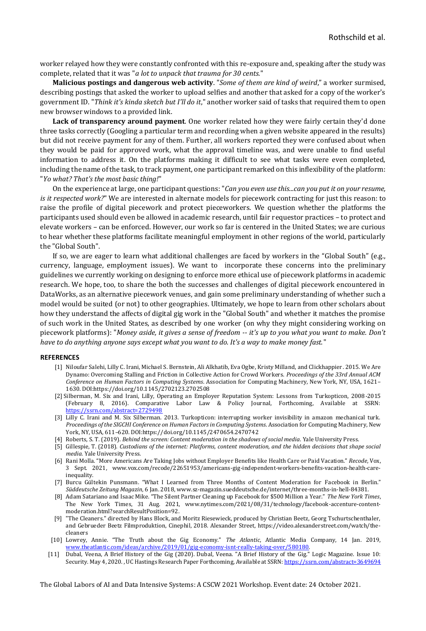worker relayed how they were constantly confronted with this re-exposure and, speaking after the study was complete, related that it was "*a lot to unpack that trauma for 30 cents.*"

**Malicious postings and dangerous web activity**. "*Some of them are kind of weird*," a worker surmised, describing postings that asked the worker to upload selfies and another that asked for a copy of the worker's government ID. "*Think it's kinda sketch but I'll do it*," another worker said of tasks that required them to open new browser windows to a provided link.

**Lack of transparency around payment**. One worker related how they were fairly certain they'd done three tasks correctly (Googling a particular term and recording when a given website appeared in the results) but did not receive payment for any of them. Further, all workers reported they were confused about when they would be paid for approved work, what the approval timeline was, and were unable to find useful information to address it. On the platforms making it difficult to see what tasks were even completed, including the name of the task, to track payment, one participant remarked on this inflexibility of the platform: "*Yo what? That's the most basic thing!*"

On the experience at large, one participant questions: "*Can you even use this...can you put it on your resume, is it respected work?*" We are interested in alternate models for piecework contracting for just this reason: to raise the profile of digital piecework and protect pieceworkers. We question whether the platforms the participants used should even be allowed in academic research, until fair requestor practices – to protect and elevate workers – can be enforced. However, our work so far is centered in the United States; we are curious to hear whether these platforms facilitate meaningful employment in other regions of the world, particularly the "Global South".

If so, we are eager to learn what additional challenges are faced by workers in the "Global South" (e.g., currency, language, employment issues). We want to incorporate these concerns into the preliminary guidelines we currently working on designing to enforce more ethical use of piecework platforms in academic research. We hope, too, to share the both the successes and challenges of digital piecework encountered in DataWorks, as an alternative piecework venues, and gain some preliminary understanding of whether such a model would be suited (or not) to other geographies. Ultimately, we hope to learn from other scholars about how they understand the affects of digital gig work in the "Global South" and whether it matches the promise of such work in the United States, as described by one worker (on why they might considering working on piecework platforms): "*Money aside, it gives a sense of freedom -- it's up to you what you want to make. Don't have to do anything anyone says except what you want to do. It's a way to make money fast.*"

## **REFERENCES**

- [1] Niloufar Salehi, Lilly C. Irani, Michael S. Bernstein, Ali Alkhatib, Eva Ogbe, Kristy Milland, and Clickhappier. 2015. We Are Dynamo: Overcoming Stalling and Friction in Collective Action for Crowd Workers. *Proceedings of the 33rd Annual ACM Conference on Human Factors in Computing Systems*. Association for Computing Machinery, New York, NY, USA, 1621– 1630. DOI:https://doi.org/10.1145/2702123.2702508
- [2] Silberman, M. Six and Irani, Lilly, Operating an Employer Reputation System: Lessons from Turkopticon, 2008-2015 (February 8, 2016). Comparative Labor Law & Policy Journal, Forthcoming, Available at SSRN: <https://ssrn.com/abstract=2729498>
- [3] Lilly C. Irani and M. Six Silberman. 2013. Turkopticon: interrupting worker invisibility in amazon mechanical turk. *Proceedings of the SIGCHI Conference on Human Factors in Computing Systems*. Association for Computing Machinery, New York, NY, USA, 611–620. DOI:https://doi.org/10.1145/2470654.2470742
- [4] Roberts, S. T. (2019). *Behind the screen: Content moderation in the shadows of social media*. Yale University Press.
- [5] Gillespie, T. (2018). *Custodians of the internet: Platforms, content moderation, and the hidden decisions that shape social media*. Yale University Press.
- [6] Rani Molla. "More Americans Are Taking Jobs without Employer Benefits like Health Care or Paid Vacation." *Recode*, Vox, 3 Sept. 2021, www.vox.com/recode/22651953/americans-gig-independent-workers-benefits-vacation-health-careinequality.
- [7] Burcu Gültekin Punsmann. "What I Learned from Three Months of Content Moderation for Facebook in Berlin." *Süddeutsche Zeitung Magazin*, 6 Jan. 2018, www.sz-magazin.sueddeutsche.de/internet/three-months-in-hell-84381.
- [8] Adam Satariano and Isaac Mike. "The Silent Partner Cleaning up Facebook for \$500 Million a Year." *The New York Times*, The New York Times, 31 Aug. 2021, www.nytimes.com/2021/08/31/technology/facebook-accenture-contentmoderation.html?searchResultPosition=92.
- [9] "The Cleaners." directed by Hans Block, and Moritz Riesewieck, produced by Christian Beetz, Georg Tschurtschenthaler, and Gebrueder Beetz Filmproduktion, Cinephil, 2018. Alexander Street, https://video.alexanderstreet.com/watch/thecleaners
- [10] Lowrey, Annie. "The Truth about the Gig Economy." *The Atlantic*, Atlantic Media Company, 14 Jan. 2019, [www.theatlantic.com/ideas/archive/2019/01/gig-economy-isnt-really-taking-over/580180.](http://www.theatlantic.com/ideas/archive/2019/01/gig-economy-isnt-really-taking-over/580180)
- [11] Dubal, Veena, A Brief History of the Gig (2020). Dubal, Veena. "A Brief History of the Gig." Logic Magazine. Issue 10: Security. May 4, 2020., UC Hastings Research Paper Forthcoming, Available at SSRN[: https://ssrn.com/abstract=3649694](https://ssrn.com/abstract=3649694)

The Global Labors of AI and Data Intensive Systems: A CSCW 2021 Workshop. Event date: 24 October 2021.